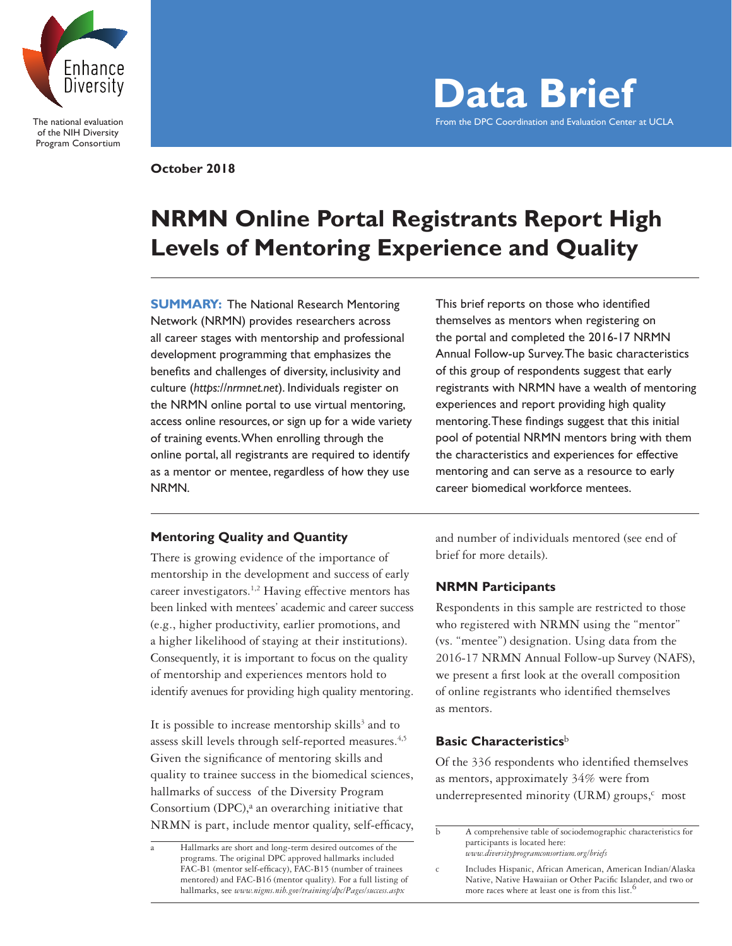

The national evaluation of the NIH Diversity Program Consortium

**Data Brief** From the DPC Coordination and Evaluation Center at UCLA

**October 2018**

# **NRMN Online Portal Registrants Report High Levels of Mentoring Experience and Quality**

**SUMMARY:** The National Research Mentoring Network (NRMN) provides researchers across all career stages with mentorship and professional development programming that emphasizes the benefits and challenges of diversity, inclusivity and culture (*https://nrmnet.net*). Individuals register on the NRMN online portal to use virtual mentoring, access online resources, or sign up for a wide variety of training events. When enrolling through the online portal, all registrants are required to identify as a mentor or mentee, regardless of how they use NRMN.

This brief reports on those who identified themselves as mentors when registering on the portal and completed the 2016-17 NRMN Annual Follow-up Survey. The basic characteristics of this group of respondents suggest that early registrants with NRMN have a wealth of mentoring experiences and report providing high quality mentoring. These findings suggest that this initial pool of potential NRMN mentors bring with them the characteristics and experiences for effective mentoring and can serve as a resource to early career biomedical workforce mentees.

# **Mentoring Quality and Quantity**

There is growing evidence of the importance of mentorship in the development and success of early career investigators.<sup>1,2</sup> Having effective mentors has been linked with mentees' academic and career success (e.g., higher productivity, earlier promotions, and a higher likelihood of staying at their institutions). Consequently, it is important to focus on the quality of mentorship and experiences mentors hold to identify avenues for providing high quality mentoring.

It is possible to increase mentorship skills<sup>3</sup> and to assess skill levels through self-reported measures.<sup>4,5</sup> Given the significance of mentoring skills and quality to trainee success in the biomedical sciences, hallmarks of success of the Diversity Program Consortium (DPC), $a$  an overarching initiative that NRMN is part, include mentor quality, self-efficacy,

Hallmarks are short and long-term desired outcomes of the programs. The original DPC approved hallmarks included FAC-B1 (mentor self-efficacy), FAC-B15 (number of trainees mentored) and FAC-B16 (mentor quality). For a full listing of hallmarks, see *www.nigms.nih.gov/training/dpc/Pages/success.aspx*

and number of individuals mentored (see end of brief for more details).

# **NRMN Participants**

Respondents in this sample are restricted to those who registered with NRMN using the "mentor" (vs. "mentee") designation. Using data from the 2016-17 NRMN Annual Follow-up Survey (NAFS), we present a first look at the overall composition of online registrants who identified themselves as mentors.

## **Basic Characteristics**<sup>b</sup>

Of the 336 respondents who identified themselves as mentors, approximately 34% were from underrepresented minority (URM) groups, $c$  most

b A comprehensive table of sociodemographic characteristics for participants is located here: *www.diversityprogramconsortium.org/briefs* 

c Includes Hispanic, African American, American Indian/Alaska Native, Native Hawaiian or Other Pacific Islander, and two or more races where at least one is from this list.<sup>6</sup>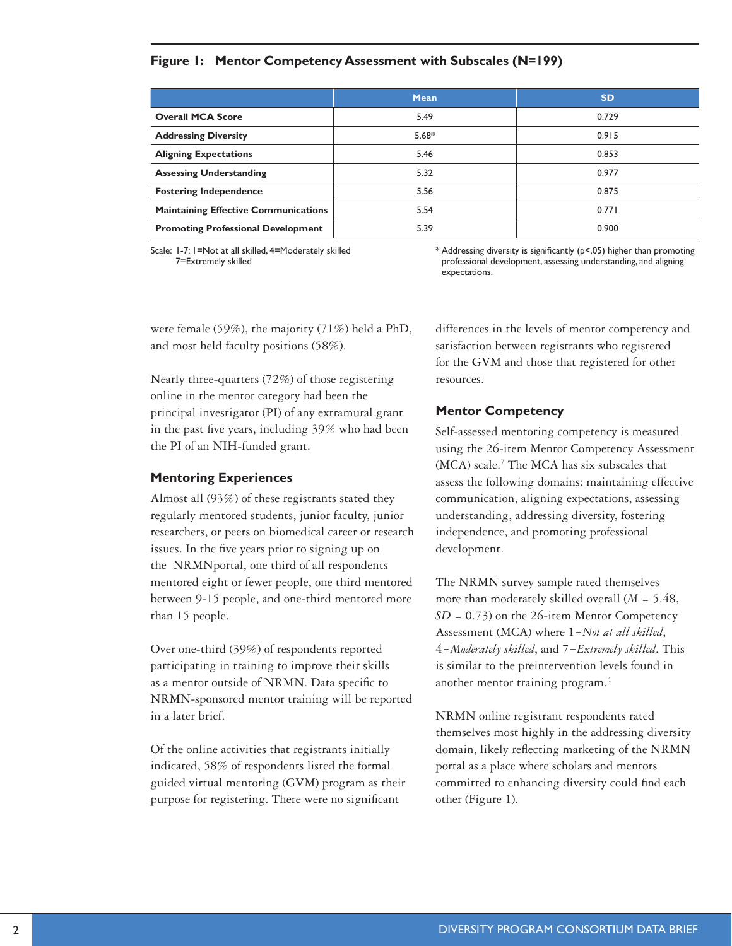# **Figure 1: Mentor Competency Assessment with Subscales (N=199)**

| <b>Mean</b> | <b>SD</b> |
|-------------|-----------|
| 5.49        | 0.729     |
| $5.68*$     | 0.915     |
| 5.46        | 0.853     |
| 5.32        | 0.977     |
| 5.56        | 0.875     |
| 5.54        | 0.771     |
| 5.39        | 0.900     |
|             |           |

Scale: 1-7: 1=Not at all skilled, 4=Moderately skilled 7=Extremely skilled

\* Addressing diversity is significantly (p<.05) higher than promoting professional development, assessing understanding, and aligning expectations.

were female (59%), the majority (71%) held a PhD, and most held faculty positions (58%).

Nearly three-quarters (72%) of those registering online in the mentor category had been the principal investigator (PI) of any extramural grant in the past five years, including 39% who had been the PI of an NIH-funded grant.

## **Mentoring Experiences**

Almost all (93%) of these registrants stated they regularly mentored students, junior faculty, junior researchers, or peers on biomedical career or research issues. In the five years prior to signing up on the NRMNportal, one third of all respondents mentored eight or fewer people, one third mentored between 9-15 people, and one-third mentored more than 15 people.

Over one-third (39%) of respondents reported participating in training to improve their skills as a mentor outside of NRMN. Data specific to NRMN-sponsored mentor training will be reported in a later brief.

Of the online activities that registrants initially indicated, 58% of respondents listed the formal guided virtual mentoring (GVM) program as their purpose for registering. There were no significant

differences in the levels of mentor competency and satisfaction between registrants who registered for the GVM and those that registered for other resources.

## **Mentor Competency**

Self-assessed mentoring competency is measured using the 26-item Mentor Competency Assessment (MCA) scale.<sup>7</sup> The MCA has six subscales that assess the following domains: maintaining effective communication, aligning expectations, assessing understanding, addressing diversity, fostering independence, and promoting professional development.

The NRMN survey sample rated themselves more than moderately skilled overall (*M* = 5.48, *SD* = 0.73) on the 26-item Mentor Competency Assessment (MCA) where 1=*Not at all skilled*, 4=*Moderately skilled*, and 7=*Extremely skilled*. This is similar to the preintervention levels found in another mentor training program.4

NRMN online registrant respondents rated themselves most highly in the addressing diversity domain, likely reflecting marketing of the NRMN portal as a place where scholars and mentors committed to enhancing diversity could find each other (Figure 1).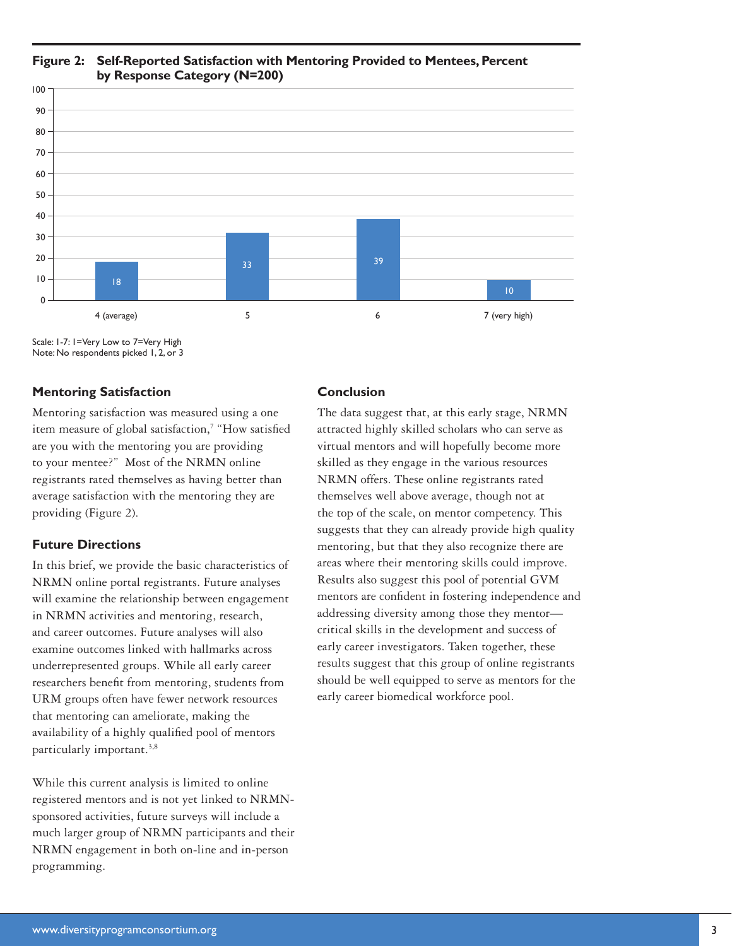

# **Figure 2: Self-Reported Satisfaction with Mentoring Provided to Mentees, Percent by Response Category (N=200)**

Scale: 1-7: 1=Very Low to 7=Very High Note: No respondents picked 1, 2, or 3

# **Mentoring Satisfaction**

Mentoring satisfaction was measured using a one item measure of global satisfaction,<sup>7</sup> "How satisfied are you with the mentoring you are providing to your mentee?" Most of the NRMN online registrants rated themselves as having better than average satisfaction with the mentoring they are providing (Figure 2).

# **Future Directions**

In this brief, we provide the basic characteristics of NRMN online portal registrants. Future analyses will examine the relationship between engagement in NRMN activities and mentoring, research, and career outcomes. Future analyses will also examine outcomes linked with hallmarks across underrepresented groups. While all early career researchers benefit from mentoring, students from URM groups often have fewer network resources that mentoring can ameliorate, making the availability of a highly qualified pool of mentors particularly important.<sup>3,8</sup>

While this current analysis is limited to online registered mentors and is not yet linked to NRMNsponsored activities, future surveys will include a much larger group of NRMN participants and their NRMN engagement in both on-line and in-person programming.

# **Conclusion**

The data suggest that, at this early stage, NRMN attracted highly skilled scholars who can serve as virtual mentors and will hopefully become more skilled as they engage in the various resources NRMN offers. These online registrants rated themselves well above average, though not at the top of the scale, on mentor competency. This suggests that they can already provide high quality mentoring, but that they also recognize there are areas where their mentoring skills could improve. Results also suggest this pool of potential GVM mentors are confident in fostering independence and addressing diversity among those they mentor critical skills in the development and success of early career investigators. Taken together, these results suggest that this group of online registrants should be well equipped to serve as mentors for the early career biomedical workforce pool.